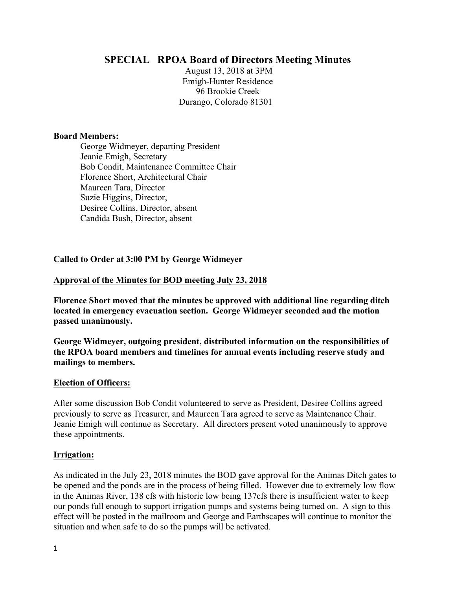# **SPECIAL RPOA Board of Directors Meeting Minutes**

August 13, 2018 at 3PM Emigh-Hunter Residence 96 Brookie Creek Durango, Colorado 81301

#### **Board Members:**

George Widmeyer, departing President Jeanie Emigh, Secretary Bob Condit, Maintenance Committee Chair Florence Short, Architectural Chair Maureen Tara, Director Suzie Higgins, Director, Desiree Collins, Director, absent Candida Bush, Director, absent

#### **Called to Order at 3:00 PM by George Widmeyer**

#### **Approval of the Minutes for BOD meeting July 23, 2018**

**Florence Short moved that the minutes be approved with additional line regarding ditch located in emergency evacuation section. George Widmeyer seconded and the motion passed unanimously.** 

**George Widmeyer, outgoing president, distributed information on the responsibilities of the RPOA board members and timelines for annual events including reserve study and mailings to members.** 

#### **Election of Officers:**

After some discussion Bob Condit volunteered to serve as President, Desiree Collins agreed previously to serve as Treasurer, and Maureen Tara agreed to serve as Maintenance Chair. Jeanie Emigh will continue as Secretary. All directors present voted unanimously to approve these appointments.

#### **Irrigation:**

As indicated in the July 23, 2018 minutes the BOD gave approval for the Animas Ditch gates to be opened and the ponds are in the process of being filled. However due to extremely low flow in the Animas River, 138 cfs with historic low being 137cfs there is insufficient water to keep our ponds full enough to support irrigation pumps and systems being turned on. A sign to this effect will be posted in the mailroom and George and Earthscapes will continue to monitor the situation and when safe to do so the pumps will be activated.